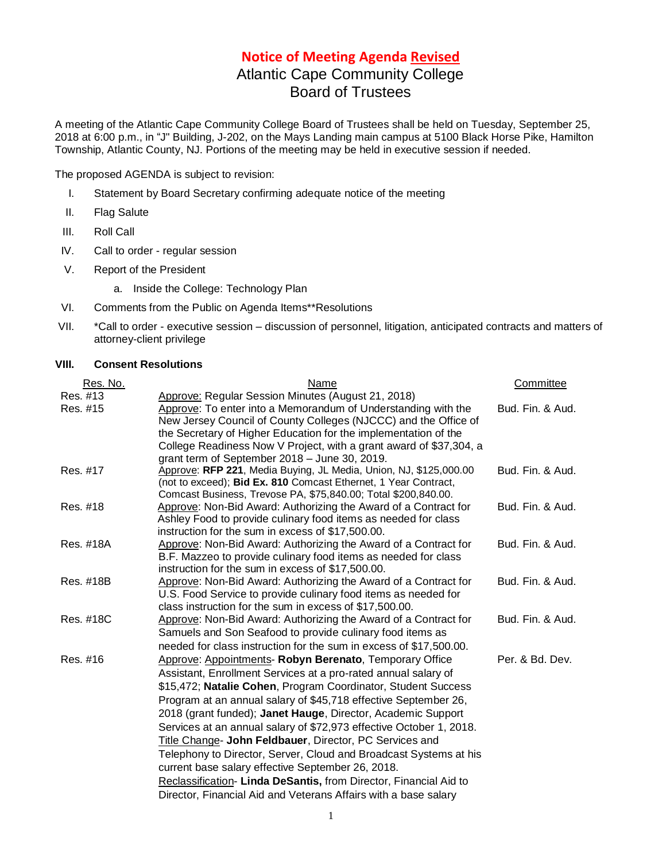## **Notice of Meeting Agenda Revised**

# Atlantic Cape Community College Board of Trustees

A meeting of the Atlantic Cape Community College Board of Trustees shall be held on Tuesday, September 25, 2018 at 6:00 p.m., in "J" Building, J-202, on the Mays Landing main campus at 5100 Black Horse Pike, Hamilton Township, Atlantic County, NJ. Portions of the meeting may be held in executive session if needed.

The proposed AGENDA is subject to revision:

- I. Statement by Board Secretary confirming adequate notice of the meeting
- II. Flag Salute
- III. Roll Call
- IV. Call to order regular session
- V. Report of the President
	- a. Inside the College: Technology Plan
- VI. Comments from the Public on Agenda Items\*\*Resolutions
- VII. \*Call to order executive session discussion of personnel, litigation, anticipated contracts and matters of attorney-client privilege

#### **VIII. Consent Resolutions**

| Name                                                                | Committee                                                                                                                                                                                                                                                                                                                                                                                                                                                                                                                                                                                                                                                                                                                                                                                                                                                                                                                                                                                                                                                                                                                                                                                        |
|---------------------------------------------------------------------|--------------------------------------------------------------------------------------------------------------------------------------------------------------------------------------------------------------------------------------------------------------------------------------------------------------------------------------------------------------------------------------------------------------------------------------------------------------------------------------------------------------------------------------------------------------------------------------------------------------------------------------------------------------------------------------------------------------------------------------------------------------------------------------------------------------------------------------------------------------------------------------------------------------------------------------------------------------------------------------------------------------------------------------------------------------------------------------------------------------------------------------------------------------------------------------------------|
| Approve: Regular Session Minutes (August 21, 2018)                  |                                                                                                                                                                                                                                                                                                                                                                                                                                                                                                                                                                                                                                                                                                                                                                                                                                                                                                                                                                                                                                                                                                                                                                                                  |
| Approve: To enter into a Memorandum of Understanding with the       | Bud. Fin. & Aud.                                                                                                                                                                                                                                                                                                                                                                                                                                                                                                                                                                                                                                                                                                                                                                                                                                                                                                                                                                                                                                                                                                                                                                                 |
|                                                                     |                                                                                                                                                                                                                                                                                                                                                                                                                                                                                                                                                                                                                                                                                                                                                                                                                                                                                                                                                                                                                                                                                                                                                                                                  |
|                                                                     |                                                                                                                                                                                                                                                                                                                                                                                                                                                                                                                                                                                                                                                                                                                                                                                                                                                                                                                                                                                                                                                                                                                                                                                                  |
|                                                                     |                                                                                                                                                                                                                                                                                                                                                                                                                                                                                                                                                                                                                                                                                                                                                                                                                                                                                                                                                                                                                                                                                                                                                                                                  |
|                                                                     |                                                                                                                                                                                                                                                                                                                                                                                                                                                                                                                                                                                                                                                                                                                                                                                                                                                                                                                                                                                                                                                                                                                                                                                                  |
|                                                                     | Bud. Fin. & Aud.                                                                                                                                                                                                                                                                                                                                                                                                                                                                                                                                                                                                                                                                                                                                                                                                                                                                                                                                                                                                                                                                                                                                                                                 |
|                                                                     |                                                                                                                                                                                                                                                                                                                                                                                                                                                                                                                                                                                                                                                                                                                                                                                                                                                                                                                                                                                                                                                                                                                                                                                                  |
|                                                                     | Bud. Fin. & Aud.                                                                                                                                                                                                                                                                                                                                                                                                                                                                                                                                                                                                                                                                                                                                                                                                                                                                                                                                                                                                                                                                                                                                                                                 |
|                                                                     |                                                                                                                                                                                                                                                                                                                                                                                                                                                                                                                                                                                                                                                                                                                                                                                                                                                                                                                                                                                                                                                                                                                                                                                                  |
|                                                                     |                                                                                                                                                                                                                                                                                                                                                                                                                                                                                                                                                                                                                                                                                                                                                                                                                                                                                                                                                                                                                                                                                                                                                                                                  |
|                                                                     | Bud. Fin. & Aud.                                                                                                                                                                                                                                                                                                                                                                                                                                                                                                                                                                                                                                                                                                                                                                                                                                                                                                                                                                                                                                                                                                                                                                                 |
| B.F. Mazzeo to provide culinary food items as needed for class      |                                                                                                                                                                                                                                                                                                                                                                                                                                                                                                                                                                                                                                                                                                                                                                                                                                                                                                                                                                                                                                                                                                                                                                                                  |
| instruction for the sum in excess of \$17,500.00.                   |                                                                                                                                                                                                                                                                                                                                                                                                                                                                                                                                                                                                                                                                                                                                                                                                                                                                                                                                                                                                                                                                                                                                                                                                  |
| Approve: Non-Bid Award: Authorizing the Award of a Contract for     | Bud. Fin. & Aud.                                                                                                                                                                                                                                                                                                                                                                                                                                                                                                                                                                                                                                                                                                                                                                                                                                                                                                                                                                                                                                                                                                                                                                                 |
|                                                                     |                                                                                                                                                                                                                                                                                                                                                                                                                                                                                                                                                                                                                                                                                                                                                                                                                                                                                                                                                                                                                                                                                                                                                                                                  |
|                                                                     |                                                                                                                                                                                                                                                                                                                                                                                                                                                                                                                                                                                                                                                                                                                                                                                                                                                                                                                                                                                                                                                                                                                                                                                                  |
|                                                                     | Bud. Fin. & Aud.                                                                                                                                                                                                                                                                                                                                                                                                                                                                                                                                                                                                                                                                                                                                                                                                                                                                                                                                                                                                                                                                                                                                                                                 |
|                                                                     |                                                                                                                                                                                                                                                                                                                                                                                                                                                                                                                                                                                                                                                                                                                                                                                                                                                                                                                                                                                                                                                                                                                                                                                                  |
|                                                                     |                                                                                                                                                                                                                                                                                                                                                                                                                                                                                                                                                                                                                                                                                                                                                                                                                                                                                                                                                                                                                                                                                                                                                                                                  |
|                                                                     | Per. & Bd. Dev.                                                                                                                                                                                                                                                                                                                                                                                                                                                                                                                                                                                                                                                                                                                                                                                                                                                                                                                                                                                                                                                                                                                                                                                  |
|                                                                     |                                                                                                                                                                                                                                                                                                                                                                                                                                                                                                                                                                                                                                                                                                                                                                                                                                                                                                                                                                                                                                                                                                                                                                                                  |
| \$15,472; Natalie Cohen, Program Coordinator, Student Success       |                                                                                                                                                                                                                                                                                                                                                                                                                                                                                                                                                                                                                                                                                                                                                                                                                                                                                                                                                                                                                                                                                                                                                                                                  |
| Program at an annual salary of \$45,718 effective September 26,     |                                                                                                                                                                                                                                                                                                                                                                                                                                                                                                                                                                                                                                                                                                                                                                                                                                                                                                                                                                                                                                                                                                                                                                                                  |
| 2018 (grant funded); Janet Hauge, Director, Academic Support        |                                                                                                                                                                                                                                                                                                                                                                                                                                                                                                                                                                                                                                                                                                                                                                                                                                                                                                                                                                                                                                                                                                                                                                                                  |
| Services at an annual salary of \$72,973 effective October 1, 2018. |                                                                                                                                                                                                                                                                                                                                                                                                                                                                                                                                                                                                                                                                                                                                                                                                                                                                                                                                                                                                                                                                                                                                                                                                  |
| Title Change- John Feldbauer, Director, PC Services and             |                                                                                                                                                                                                                                                                                                                                                                                                                                                                                                                                                                                                                                                                                                                                                                                                                                                                                                                                                                                                                                                                                                                                                                                                  |
| Telephony to Director, Server, Cloud and Broadcast Systems at his   |                                                                                                                                                                                                                                                                                                                                                                                                                                                                                                                                                                                                                                                                                                                                                                                                                                                                                                                                                                                                                                                                                                                                                                                                  |
| current base salary effective September 26, 2018.                   |                                                                                                                                                                                                                                                                                                                                                                                                                                                                                                                                                                                                                                                                                                                                                                                                                                                                                                                                                                                                                                                                                                                                                                                                  |
| Reclassification- Linda DeSantis, from Director, Financial Aid to   |                                                                                                                                                                                                                                                                                                                                                                                                                                                                                                                                                                                                                                                                                                                                                                                                                                                                                                                                                                                                                                                                                                                                                                                                  |
| Director, Financial Aid and Veterans Affairs with a base salary     |                                                                                                                                                                                                                                                                                                                                                                                                                                                                                                                                                                                                                                                                                                                                                                                                                                                                                                                                                                                                                                                                                                                                                                                                  |
|                                                                     | New Jersey Council of County Colleges (NJCCC) and the Office of<br>the Secretary of Higher Education for the implementation of the<br>College Readiness Now V Project, with a grant award of \$37,304, a<br>grant term of September 2018 - June 30, 2019.<br>Approve: RFP 221, Media Buying, JL Media, Union, NJ, \$125,000.00<br>(not to exceed); Bid Ex. 810 Comcast Ethernet, 1 Year Contract,<br>Comcast Business, Trevose PA, \$75,840.00; Total \$200,840.00.<br>Approve: Non-Bid Award: Authorizing the Award of a Contract for<br>Ashley Food to provide culinary food items as needed for class<br>instruction for the sum in excess of \$17,500.00.<br>Approve: Non-Bid Award: Authorizing the Award of a Contract for<br>U.S. Food Service to provide culinary food items as needed for<br>class instruction for the sum in excess of \$17,500.00.<br>Approve: Non-Bid Award: Authorizing the Award of a Contract for<br>Samuels and Son Seafood to provide culinary food items as<br>needed for class instruction for the sum in excess of \$17,500.00.<br>Approve: Appointments- Robyn Berenato, Temporary Office<br>Assistant, Enrollment Services at a pro-rated annual salary of |